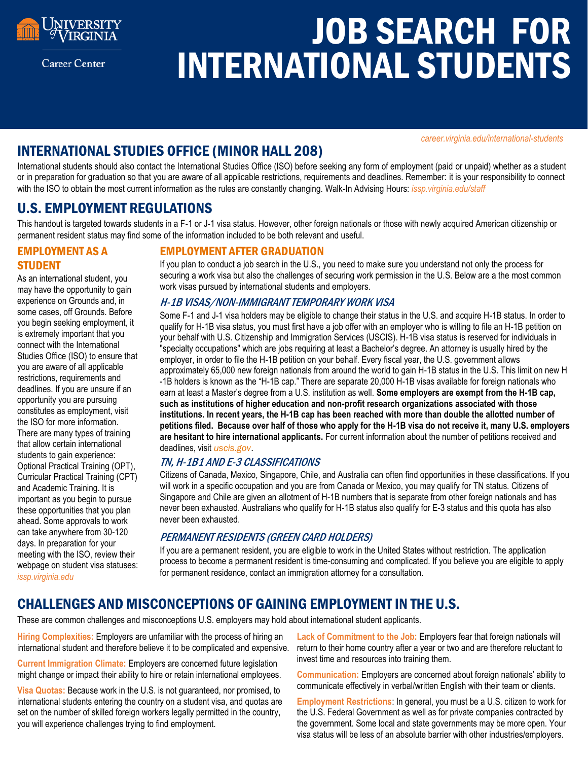

**Career Center** 

# JOB SEARCH FOR INTERNATIONAL STUDENTS

*career.virginia.edu[/international-students](https://career.virginia.edu/international-students)*

# INTERNATIONAL STUDIES OFFICE (MINOR HALL 208)

International students should also contact the International Studies Office (ISO) before seeking any form of employment (paid or unpaid) whether as a student or in preparation for graduation so that you are aware of all applicable restrictions, requirements and deadlines. Remember: it is your responsibility to connect with the ISO to obtain the most current information as the rules are constantly changing. Walk-In Advising Hours: *issp.virginia.edu/staff*

## U.S. EMPLOYMENT REGULATIONS

This handout is targeted towards students in a F-1 or J-1 visa status. However, other foreign nationals or those with newly acquired American citizenship or permanent resident status may find some of the information included to be both relevant and useful.

## EMPLOYMENT AS A **STUDENT**

As an international student, you may have the opportunity to gain experience on Grounds and, in some cases, off Grounds. Before you begin seeking employment, it is extremely important that you connect with the International Studies Office (ISO) to ensure that you are aware of all applicable restrictions, requirements and deadlines. If you are unsure if an opportunity you are pursuing constitutes as employment, visit the ISO for more information. There are many types of training that allow certain international students to gain experience: Optional Practical Training (OPT), Curricular Practical Training (CPT) and Academic Training. It is important as you begin to pursue these opportunities that you plan ahead. Some approvals to work can take anywhere from 30-120 days. In preparation for your meeting with the ISO, review their webpage on student visa statuses: *issp.virginia.edu*

## EMPLOYMENT AFTER GRADUATION

If you plan to conduct a job search in the U.S., you need to make sure you understand not only the process for securing a work visa but also the challenges of securing work permission in the U.S. Below are a the most common work visas pursued by international students and employers.

#### H-1B VISAS/NON-IMMIGRANT TEMPORARY WORK VISA

Some F-1 and J-1 visa holders may be eligible to change their status in the U.S. and acquire H-1B status. In order to qualify for H-1B visa status, you must first have a job offer with an employer who is willing to file an H-1B petition on your behalf with U.S. Citizenship and Immigration Services (USCIS). H-1B visa status is reserved for individuals in "specialty occupations" which are jobs requiring at least a Bachelor's degree. An attorney is usually hired by the employer, in order to file the H-1B petition on your behalf. Every fiscal year, the U.S. government allows approximately 65,000 new foreign nationals from around the world to gain H-1B status in the U.S. This limit on new H -1B holders is known as the "H-1B cap." There are separate 20,000 H-1B visas available for foreign nationals who earn at least a Master's degree from a U.S. institution as well. **Some employers are exempt from the H-1B cap, such as institutions of higher education and non-profit research organizations associated with those institutions. In recent years, the H-1B cap has been reached with more than double the allotted number of petitions filed. Because over half of those who apply for the H-1B visa do not receive it, many U.S. employers are hesitant to hire international applicants.** For current information about the number of petitions received and deadlines, visit *uscis.gov*.

## TN, H-1B1 AND E-3 CLASSIFICATIONS

Citizens of Canada, Mexico, Singapore, Chile, and Australia can often find opportunities in these classifications. If you will work in a specific occupation and you are from Canada or Mexico, you may qualify for TN status. Citizens of Singapore and Chile are given an allotment of H-1B numbers that is separate from other foreign nationals and has never been exhausted. Australians who qualify for H-1B status also qualify for E-3 status and this quota has also never been exhausted.

## PERMANENT RESIDENTS (GREEN CARD HOLDERS)

If you are a permanent resident, you are eligible to work in the United States without restriction. The application process to become a permanent resident is time-consuming and complicated. If you believe you are eligible to apply for permanent residence, contact an immigration attorney for a consultation.

# CHALLENGES AND MISCONCEPTIONS OF GAINING EMPLOYMENT IN THE U.S.

These are common challenges and misconceptions U.S. employers may hold about international student applicants.

**Hiring Complexities:** Employers are unfamiliar with the process of hiring an international student and therefore believe it to be complicated and expensive.

**Current Immigration Climate:** Employers are concerned future legislation might change or impact their ability to hire or retain international employees.

**Visa Quotas:** Because work in the U.S. is not guaranteed, nor promised, to international students entering the country on a student visa, and quotas are set on the number of skilled foreign workers legally permitted in the country, you will experience challenges trying to find employment.

**Lack of Commitment to the Job:** Employers fear that foreign nationals will return to their home country after a year or two and are therefore reluctant to invest time and resources into training them.

**Communication:** Employers are concerned about foreign nationals' ability to communicate effectively in verbal/written English with their team or clients.

**Employment Restrictions**: In general, you must be a U.S. citizen to work for the U.S. Federal Government as well as for private companies contracted by the government. Some local and state governments may be more open. Your visa status will be less of an absolute barrier with other industries/employers.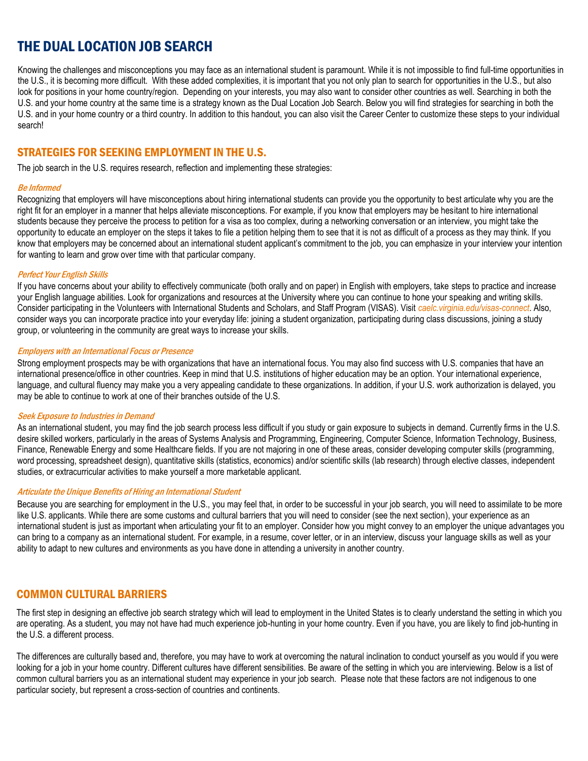# THE DUAL LOCATION JOB SEARCH

Knowing the challenges and misconceptions you may face as an international student is paramount. While it is not impossible to find full-time opportunities in the U.S., it is becoming more difficult. With these added complexities, it is important that you not only plan to search for opportunities in the U.S., but also look for positions in your home country/region. Depending on your interests, you may also want to consider other countries as well. Searching in both the U.S. and your home country at the same time is a strategy known as the Dual Location Job Search. Below you will find strategies for searching in both the U.S. and in your home country or a third country. In addition to this handout, you can also visit the Career Center to customize these steps to your individual search!

## STRATEGIES FOR SEEKING EMPLOYMENT IN THE U.S.

The job search in the U.S. requires research, reflection and implementing these strategies:

#### Be Informed

Recognizing that employers will have misconceptions about hiring international students can provide you the opportunity to best articulate why you are the right fit for an employer in a manner that helps alleviate misconceptions. For example, if you know that employers may be hesitant to hire international students because they perceive the process to petition for a visa as too complex, during a networking conversation or an interview, you might take the opportunity to educate an employer on the steps it takes to file a petition helping them to see that it is not as difficult of a process as they may think. If you know that employers may be concerned about an international student applicant's commitment to the job, you can emphasize in your interview your intention for wanting to learn and grow over time with that particular company.

#### Perfect Your English Skills

If you have concerns about your ability to effectively communicate (both orally and on paper) in English with employers, take steps to practice and increase your English language abilities. Look for organizations and resources at the University where you can continue to hone your speaking and writing skills. Consider participating in the Volunteers with International Students and Scholars, and Staff Program (VISAS). Visit *[caelc.virginia.edu/visas-connect](http://caelc.virginia.edu/visas-connect)*. Also, consider ways you can incorporate practice into your everyday life: joining a student organization, participating during class discussions, joining a study group, or volunteering in the community are great ways to increase your skills.

#### Employers with an International Focus or Presence

Strong employment prospects may be with organizations that have an international focus. You may also find success with U.S. companies that have an international presence/office in other countries. Keep in mind that U.S. institutions of higher education may be an option. Your international experience, language, and cultural fluency may make you a very appealing candidate to these organizations. In addition, if your U.S. work authorization is delayed, you may be able to continue to work at one of their branches outside of the U.S.

#### Seek Exposure to Industries in Demand

As an international student, you may find the job search process less difficult if you study or gain exposure to subjects in demand. Currently firms in the U.S. desire skilled workers, particularly in the areas of Systems Analysis and Programming, Engineering, Computer Science, Information Technology, Business, Finance, Renewable Energy and some Healthcare fields. If you are not majoring in one of these areas, consider developing computer skills (programming, word processing, spreadsheet design), quantitative skills (statistics, economics) and/or scientific skills (lab research) through elective classes, independent studies, or extracurricular activities to make yourself a more marketable applicant.

#### Articulate the Unique Benefits of Hiring an International Student

Because you are searching for employment in the U.S., you may feel that, in order to be successful in your job search, you will need to assimilate to be more like U.S. applicants. While there are some customs and cultural barriers that you will need to consider (see the next section), your experience as an international student is just as important when articulating your fit to an employer. Consider how you might convey to an employer the unique advantages you can bring to a company as an international student. For example, in a resume, cover letter, or in an interview, discuss your language skills as well as your ability to adapt to new cultures and environments as you have done in attending a university in another country.

## COMMON CULTURAL BARRIERS

The first step in designing an effective job search strategy which will lead to employment in the United States is to clearly understand the setting in which you are operating. As a student, you may not have had much experience job-hunting in your home country. Even if you have, you are likely to find job-hunting in the U.S. a different process.

The differences are culturally based and, therefore, you may have to work at overcoming the natural inclination to conduct yourself as you would if you were looking for a job in your home country. Different cultures have different sensibilities. Be aware of the setting in which you are interviewing. Below is a list of common cultural barriers you as an international student may experience in your job search. Please note that these factors are not indigenous to one particular society, but represent a cross-section of countries and continents.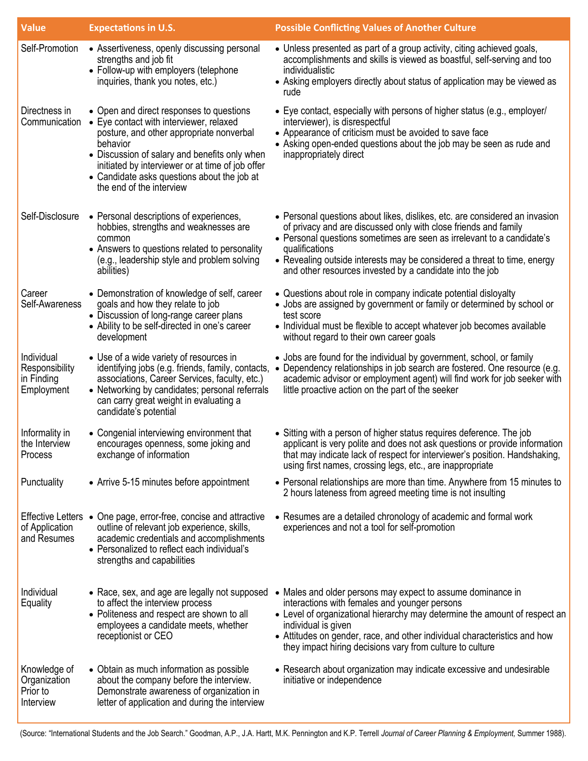| <b>Value</b>                                             | <b>Expectations in U.S.</b>                                                                                                                                                                                                                                                                                                 | <b>Possible Conflicting Values of Another Culture</b>                                                                                                                                                                                                                                                                                                                                                     |
|----------------------------------------------------------|-----------------------------------------------------------------------------------------------------------------------------------------------------------------------------------------------------------------------------------------------------------------------------------------------------------------------------|-----------------------------------------------------------------------------------------------------------------------------------------------------------------------------------------------------------------------------------------------------------------------------------------------------------------------------------------------------------------------------------------------------------|
| Self-Promotion                                           | • Assertiveness, openly discussing personal<br>strengths and job fit<br>• Follow-up with employers (telephone<br>inquiries, thank you notes, etc.)                                                                                                                                                                          | • Unless presented as part of a group activity, citing achieved goals,<br>accomplishments and skills is viewed as boastful, self-serving and too<br>individualistic<br>• Asking employers directly about status of application may be viewed as<br>rude                                                                                                                                                   |
| Directness in<br>Communication                           | • Open and direct responses to questions<br>• Eye contact with interviewer, relaxed<br>posture, and other appropriate nonverbal<br>behavior<br>• Discussion of salary and benefits only when<br>initiated by interviewer or at time of job offer<br>• Candidate asks questions about the job at<br>the end of the interview | • Eye contact, especially with persons of higher status (e.g., employer/<br>interviewer), is disrespectful<br>• Appearance of criticism must be avoided to save face<br>• Asking open-ended questions about the job may be seen as rude and<br>inappropriately direct                                                                                                                                     |
| Self-Disclosure                                          | • Personal descriptions of experiences,<br>hobbies, strengths and weaknesses are<br>common<br>• Answers to questions related to personality<br>(e.g., leadership style and problem solving<br>abilities)                                                                                                                    | • Personal questions about likes, dislikes, etc. are considered an invasion<br>of privacy and are discussed only with close friends and family<br>• Personal questions sometimes are seen as irrelevant to a candidate's<br>qualifications<br>• Revealing outside interests may be considered a threat to time, energy<br>and other resources invested by a candidate into the job                        |
| Career<br>Self-Awareness                                 | • Demonstration of knowledge of self, career<br>goals and how they relate to job<br>• Discussion of long-range career plans<br>• Ability to be self-directed in one's career<br>development                                                                                                                                 | • Questions about role in company indicate potential disloyalty<br>• Jobs are assigned by government or family or determined by school or<br>test score<br>• Individual must be flexible to accept whatever job becomes available<br>without regard to their own career goals                                                                                                                             |
| Individual<br>Responsibility<br>in Finding<br>Employment | • Use of a wide variety of resources in<br>identifying jobs (e.g. friends, family, contacts,<br>associations, Career Services, faculty, etc.)<br>• Networking by candidates; personal referrals<br>can carry great weight in evaluating a<br>candidate's potential                                                          | • Jobs are found for the individual by government, school, or family<br>Dependency relationships in job search are fostered. One resource (e.g.<br>academic advisor or employment agent) will find work for job seeker with<br>little proactive action on the part of the seeker                                                                                                                          |
| Informality in<br>the Interview<br>Process               | • Congenial interviewing environment that<br>encourages openness, some joking and<br>exchange of information                                                                                                                                                                                                                | • Sitting with a person of higher status requires deference. The job<br>applicant is very polite and does not ask questions or provide information<br>that may indicate lack of respect for interviewer's position. Handshaking,<br>using first names, crossing legs, etc., are inappropriate                                                                                                             |
| Punctuality                                              | • Arrive 5-15 minutes before appointment                                                                                                                                                                                                                                                                                    | • Personal relationships are more than time. Anywhere from 15 minutes to<br>2 hours lateness from agreed meeting time is not insulting                                                                                                                                                                                                                                                                    |
| of Application<br>and Resumes                            | Effective Letters • One page, error-free, concise and attractive<br>outline of relevant job experience, skills,<br>academic credentials and accomplishments<br>• Personalized to reflect each individual's<br>strengths and capabilities                                                                                    | • Resumes are a detailed chronology of academic and formal work<br>experiences and not a tool for self-promotion                                                                                                                                                                                                                                                                                          |
| Individual<br>Equality                                   | to affect the interview process<br>• Politeness and respect are shown to all<br>employees a candidate meets, whether<br>receptionist or CEO                                                                                                                                                                                 | • Race, sex, and age are legally not supposed • Males and older persons may expect to assume dominance in<br>interactions with females and younger persons<br>• Level of organizational hierarchy may determine the amount of respect an<br>individual is given<br>• Attitudes on gender, race, and other individual characteristics and how<br>they impact hiring decisions vary from culture to culture |
| Knowledge of<br>Organization<br>Prior to<br>Interview    | • Obtain as much information as possible<br>about the company before the interview.<br>Demonstrate awareness of organization in<br>letter of application and during the interview                                                                                                                                           | • Research about organization may indicate excessive and undesirable<br>initiative or independence                                                                                                                                                                                                                                                                                                        |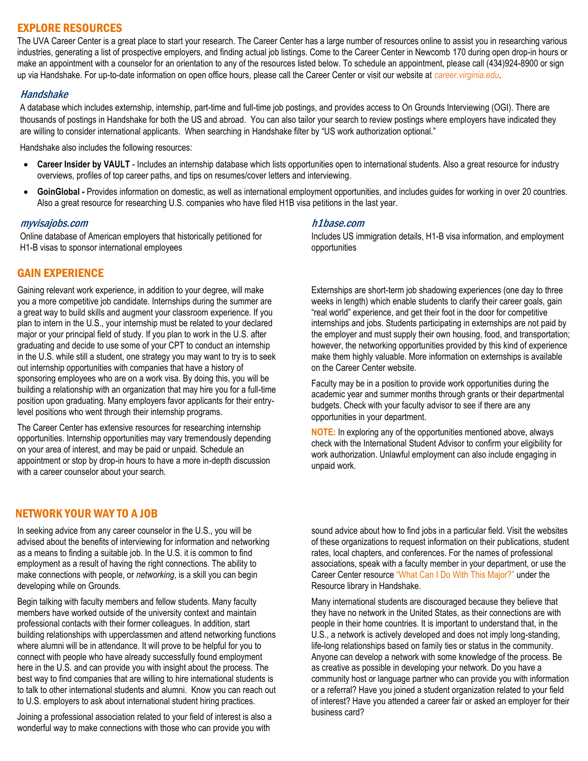## EXPLORE RESOURCES

The UVA Career Center is a great place to start your research. The Career Center has a large number of resources online to assist you in researching various industries, generating a list of prospective employers, and finding actual job listings. Come to the Career Center in Newcomb 170 during open drop-in hours or make an appointment with a counselor for an orientation to any of the resources listed below. To schedule an appointment, please call (434)924-8900 or sign up via Handshake. For up-to-date information on open office hours, please call the Career Center or visit our website at *career.virginia.edu*.

#### Handshake

A database which includes externship, internship, part-time and full-time job postings, and provides access to On Grounds Interviewing (OGI). There are thousands of postings in Handshake for both the US and abroad. You can also tailor your search to review postings where employers have indicated they are willing to consider international applicants. When searching in Handshake filter by "US work authorization optional."

Handshake also includes the following resources:

- **Career Insider by VAULT**  Includes an internship database which lists opportunities open to international students. Also a great resource for industry overviews, profiles of top career paths, and tips on resumes/cover letters and interviewing.
- **GoinGlobal -** Provides information on domestic, as well as international employment opportunities, and includes guides for working in over 20 countries. Also a great resource for researching U.S. companies who have filed H1B visa petitions in the last year.

#### myvisajobs.com

Online database of American employers that historically petitioned for H1-B visas to sponsor international employees

## GAIN EXPERIENCE

Gaining relevant work experience, in addition to your degree, will make you a more competitive job candidate. Internships during the summer are a great way to build skills and augment your classroom experience. If you plan to intern in the U.S., your internship must be related to your declared major or your principal field of study. If you plan to work in the U.S. after graduating and decide to use some of your CPT to conduct an internship in the U.S. while still a student, one strategy you may want to try is to seek out internship opportunities with companies that have a history of sponsoring employees who are on a work visa. By doing this, you will be building a relationship with an organization that may hire you for a full-time position upon graduating. Many employers favor applicants for their entrylevel positions who went through their internship programs.

The Career Center has extensive resources for researching internship opportunities. Internship opportunities may vary tremendously depending on your area of interest, and may be paid or unpaid. Schedule an appointment or stop by drop-in hours to have a more in-depth discussion with a career counselor about your search.

## NETWORK YOUR WAY TO A JOB

In seeking advice from any career counselor in the U.S., you will be advised about the benefits of interviewing for information and networking as a means to finding a suitable job. In the U.S. it is common to find employment as a result of having the right connections. The ability to make connections with people, or *networking*, is a skill you can begin developing while on Grounds.

Begin talking with faculty members and fellow students. Many faculty members have worked outside of the university context and maintain professional contacts with their former colleagues. In addition, start building relationships with upperclassmen and attend networking functions where alumni will be in attendance. It will prove to be helpful for you to connect with people who have already successfully found employment here in the U.S. and can provide you with insight about the process. The best way to find companies that are willing to hire international students is to talk to other international students and alumni. Know you can reach out to U.S. employers to ask about international student hiring practices.

Joining a professional association related to your field of interest is also a wonderful way to make connections with those who can provide you with

#### h1base.com

Includes US immigration details, H1-B visa information, and employment opportunities

Externships are short-term job shadowing experiences (one day to three weeks in length) which enable students to clarify their career goals, gain "real world" experience, and get their foot in the door for competitive internships and jobs. Students participating in externships are not paid by the employer and must supply their own housing, food, and transportation; however, the networking opportunities provided by this kind of experience make them highly valuable. More information on externships is available on the Career Center website.

Faculty may be in a position to provide work opportunities during the academic year and summer months through grants or their departmental budgets. Check with your faculty advisor to see if there are any opportunities in your department.

**NOTE:** In exploring any of the opportunities mentioned above, always check with the International Student Advisor to confirm your eligibility for work authorization. Unlawful employment can also include engaging in unpaid work.

sound advice about how to find jobs in a particular field. Visit the websites of these organizations to request information on their publications, student rates, local chapters, and conferences. For the names of professional associations, speak with a faculty member in your department, or use the Career Center resource "What Can I Do With This Major?" under the Resource library in Handshake.

Many international students are discouraged because they believe that they have no network in the United States, as their connections are with people in their home countries. It is important to understand that, in the U.S., a network is actively developed and does not imply long-standing, life-long relationships based on family ties or status in the community. Anyone can develop a network with some knowledge of the process. Be as creative as possible in developing your network. Do you have a community host or language partner who can provide you with information or a referral? Have you joined a student organization related to your field of interest? Have you attended a career fair or asked an employer for their business card?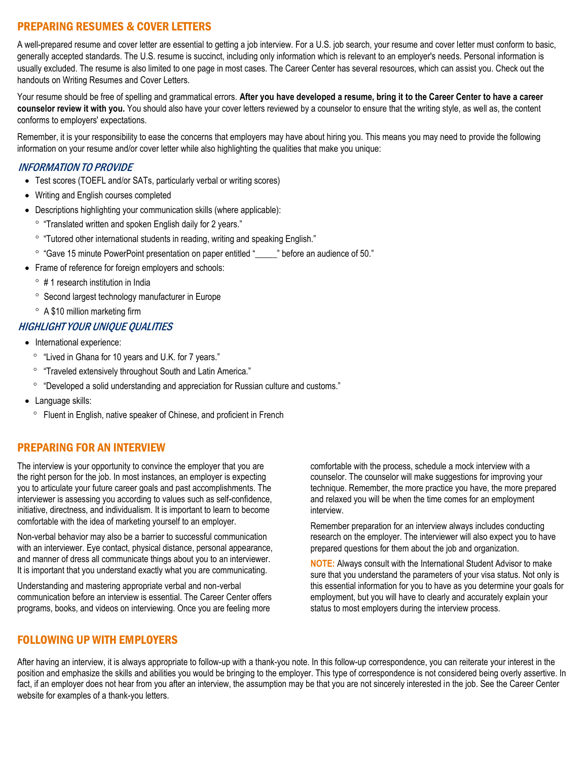## PREPARING RESUMES & COVER LETTERS

A well-prepared resume and cover letter are essential to getting a job interview. For a U.S. job search, your resume and cover letter must conform to basic, generally accepted standards. The U.S. resume is succinct, including only information which is relevant to an employer's needs. Personal information is usually excluded. The resume is also limited to one page in most cases. The Career Center has several resources, which can assist you. Check out the handouts on [Writing Resumes](http://www.career.virginia.edu/students/handouts/writing_resumes.pdf) and [Cover Letters.](http://www.career.virginia.edu/students/handouts/coverletters.pdf) 

Your resume should be free of spelling and grammatical errors. **After you have developed a resume, bring it to the Career Center to have a career counselor review it with you.** You should also have your cover letters reviewed by a counselor to ensure that the writing style, as well as, the content conforms to employers' expectations.

Remember, it is your responsibility to ease the concerns that employers may have about hiring you. This means you may need to provide the following information on your resume and/or cover letter while also highlighting the qualities that make you unique:

#### INFORMATION TO PROVIDE

- Test scores (TOEFL and/or SATs, particularly verbal or writing scores)
- Writing and English courses completed
- Descriptions highlighting your communication skills (where applicable):
	- "Translated written and spoken English daily for 2 years."
	- "Tutored other international students in reading, writing and speaking English."
	- ° "Gave 15 minute PowerPoint presentation on paper entitled " <sup>"</sup> before an audience of 50."
- Frame of reference for foreign employers and schools:
	- $\degree$  # 1 research institution in India
	- <sup>o</sup> Second largest technology manufacturer in Europe
	- A \$10 million marketing firm

#### HIGHLIGHT YOUR UNIQUE QUALITIES

- International experience:
	- ° "Lived in Ghana for 10 years and U.K. for 7 years."
	- <sup>o</sup> "Traveled extensively throughout South and Latin America."
	- "Developed a solid understanding and appreciation for Russian culture and customs."
- Language skills:
	- Fluent in English, native speaker of Chinese, and proficient in French

## PREPARING FOR AN INTERVIEW

The interview is your opportunity to convince the employer that you are the right person for the job. In most instances, an employer is expecting you to articulate your future career goals and past accomplishments. The interviewer is assessing you according to values such as self-confidence, initiative, directness, and individualism. It is important to learn to become comfortable with the idea of marketing yourself to an employer.

Non-verbal behavior may also be a barrier to successful communication with an interviewer. Eye contact, physical distance, personal appearance, and manner of dress all communicate things about you to an interviewer. It is important that you understand exactly what you are communicating.

Understanding and mastering appropriate verbal and non-verbal communication before an interview is essential. The Career Center offers programs, books, and videos on interviewing. Once you are feeling more

comfortable with the process, schedule a mock interview with a counselor. The counselor will make suggestions for improving your technique. Remember, the more practice you have, the more prepared and relaxed you will be when the time comes for an employment interview.

Remember preparation for an interview always includes conducting research on the employer. The interviewer will also expect you to have prepared questions for them about the job and organization.

**NOTE:** Always consult with the International Student Advisor to make sure that you understand the parameters of your visa status. Not only is this essential information for you to have as you determine your goals for employment, but you will have to clearly and accurately explain your status to most employers during the interview process.

## FOLLOWING UP WITH EMPLOYERS

After having an interview, it is always appropriate to follow-up with a thank-you note. In this follow-up correspondence, you can reiterate your interest in the position and emphasize the skills and abilities you would be bringing to the employer. This type of correspondence is not considered being overly assertive. In fact, if an employer does not hear from you after an interview, the assumption may be that you are not sincerely interested in the job. See the Career Center website for examples of a thank-you letters.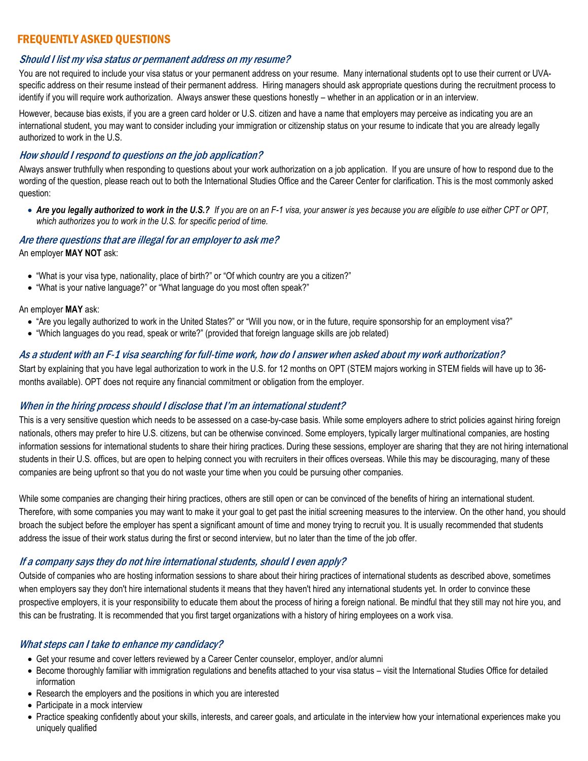## FREQUENTLY ASKED QUESTIONS

#### Should I list my visa status or permanent address on my resume?

You are not required to include your visa status or your permanent address on your resume. Many international students opt to use their current or UVAspecific address on their resume instead of their permanent address. Hiring managers should ask appropriate questions during the recruitment process to identify if you will require work authorization. Always answer these questions honestly – whether in an application or in an interview.

However, because bias exists, if you are a green card holder or U.S. citizen and have a name that employers may perceive as indicating you are an international student, you may want to consider including your immigration or citizenship status on your resume to indicate that you are already legally authorized to work in the U.S.

#### How should I respond to questions on the job application?

Always answer truthfully when responding to questions about your work authorization on a job application. If you are unsure of how to respond due to the wording of the question, please reach out to both the International Studies Office and the Career Center for clarification. This is the most commonly asked question:

 *Are you legally authorized to work in the U.S.? If you are on an F-1 visa, your answer is yes because you are eligible to use either CPT or OPT, which authorizes you to work in the U.S. for specific period of time.*

### Are there questions that are illegal for an employer to ask me? An employer **MAY NOT** ask:

- "What is your visa type, nationality, place of birth?" or "Of which country are you a citizen?"
- "What is your native language?" or "What language do you most often speak?"

#### An employer **MAY** ask:

- "Are you legally authorized to work in the United States?" or "Will you now, or in the future, require sponsorship for an employment visa?"
- "Which languages do you read, speak or write?" (provided that foreign language skills are job related)

#### As a student with an F-1 visa searching for full-time work, how do I answer when asked about my work authorization?

Start by explaining that you have legal authorization to work in the U.S. for 12 months on OPT (STEM majors working in STEM fields will have up to 36 months available). OPT does not require any financial commitment or obligation from the employer.

#### When in the hiring process should I disclose that I'm an international student?

This is a very sensitive question which needs to be assessed on a case-by-case basis. While some employers adhere to strict policies against hiring foreign nationals, others may prefer to hire U.S. citizens, but can be otherwise convinced. Some employers, typically larger multinational companies, are hosting information sessions for international students to share their hiring practices. During these sessions, employer are sharing that they are not hiring international students in their U.S. offices, but are open to helping connect you with recruiters in their offices overseas. While this may be discouraging, many of these companies are being upfront so that you do not waste your time when you could be pursuing other companies.

While some companies are changing their hiring practices, others are still open or can be convinced of the benefits of hiring an international student. Therefore, with some companies you may want to make it your goal to get past the initial screening measures to the interview. On the other hand, you should broach the subject before the employer has spent a significant amount of time and money trying to recruit you. It is usually recommended that students address the issue of their work status during the first or second interview, but no later than the time of the job offer.

#### If a company says they do not hire international students, should I even apply?

Outside of companies who are hosting information sessions to share about their hiring practices of international students as described above, sometimes when employers say they don't hire international students it means that they haven't hired any international students yet. In order to convince these prospective employers, it is your responsibility to educate them about the process of hiring a foreign national. Be mindful that they still may not hire you, and this can be frustrating. It is recommended that you first target organizations with a history of hiring employees on a work visa.

#### What steps can I take to enhance my candidacy?

- Get your resume and cover letters reviewed by a Career Center counselor, employer, and/or alumni
- Become thoroughly familiar with immigration regulations and benefits attached to your visa status visit the International Studies Office for detailed information
- Research the employers and the positions in which you are interested
- Participate in a mock interview
- Practice speaking confidently about your skills, interests, and career goals, and articulate in the interview how your international experiences make you uniquely qualified